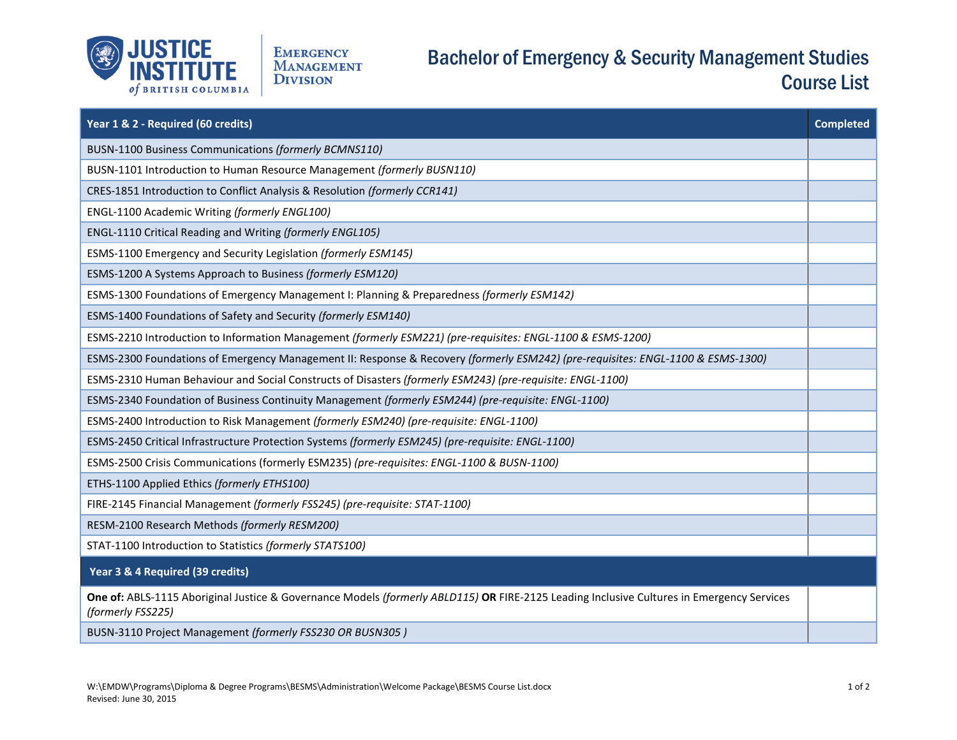

## Bachelor of Emergency & Security Management Studies Course List

| Year 1 & 2 - Required (60 credits)                                                                                                                             | <b>Completed</b> |
|----------------------------------------------------------------------------------------------------------------------------------------------------------------|------------------|
| BUSN-1100 Business Communications (formerly BCMNS110)                                                                                                          |                  |
| BUSN-1101 Introduction to Human Resource Management (formerly BUSN110)                                                                                         |                  |
| CRES-1851 Introduction to Conflict Analysis & Resolution (formerly CCR141)                                                                                     |                  |
| ENGL-1100 Academic Writing (formerly ENGL100)                                                                                                                  |                  |
| ENGL-1110 Critical Reading and Writing (formerly ENGL105)                                                                                                      |                  |
| ESMS-1100 Emergency and Security Legislation (formerly ESM145)                                                                                                 |                  |
| ESMS-1200 A Systems Approach to Business (formerly ESM120)                                                                                                     |                  |
| ESMS-1300 Foundations of Emergency Management I: Planning & Preparedness (formerly ESM142)                                                                     |                  |
| ESMS-1400 Foundations of Safety and Security (formerly ESM140)                                                                                                 |                  |
| ESMS-2210 Introduction to Information Management (formerly ESM221) (pre-requisites: ENGL-1100 & ESMS-1200)                                                     |                  |
| ESMS-2300 Foundations of Emergency Management II: Response & Recovery (formerly ESM242) (pre-requisites: ENGL-1100 & ESMS-1300)                                |                  |
| ESMS-2310 Human Behaviour and Social Constructs of Disasters (formerly ESM243) (pre-requisite: ENGL-1100)                                                      |                  |
| ESMS-2340 Foundation of Business Continuity Management (formerly ESM244) (pre-requisite: ENGL-1100)                                                            |                  |
| ESMS-2400 Introduction to Risk Management (formerly ESM240) (pre-requisite: ENGL-1100)                                                                         |                  |
| ESMS-2450 Critical Infrastructure Protection Systems (formerly ESM245) (pre-requisite: ENGL-1100)                                                              |                  |
| ESMS-2500 Crisis Communications (formerly ESM235) (pre-requisites: ENGL-1100 & BUSN-1100)                                                                      |                  |
| ETHS-1100 Applied Ethics (formerly ETHS100)                                                                                                                    |                  |
| FIRE-2145 Financial Management (formerly FSS245) (pre-requisite: STAT-1100)                                                                                    |                  |
| RESM-2100 Research Methods (formerly RESM200)                                                                                                                  |                  |
| STAT-1100 Introduction to Statistics (formerly STATS100)                                                                                                       |                  |
| Year 3 & 4 Required (39 credits)                                                                                                                               |                  |
| One of: ABLS-1115 Aboriginal Justice & Governance Models (formerly ABLD115) OR FIRE-2125 Leading Inclusive Cultures in Emergency Services<br>(formerly FSS225) |                  |
| BUSN-3110 Project Management (formerly FSS230 OR BUSN305)                                                                                                      |                  |